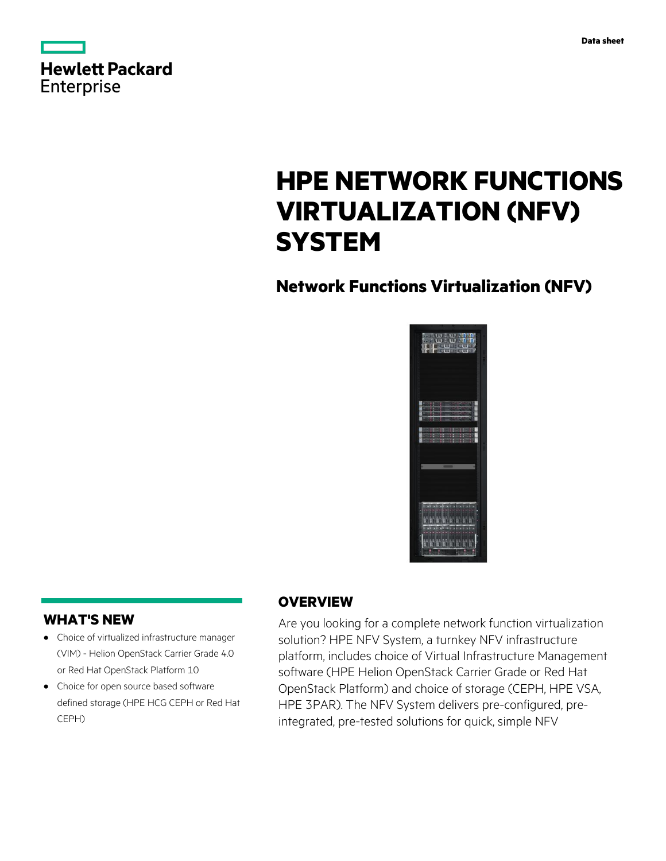| <b>Hewlett Packard</b> |  |  |
|------------------------|--|--|
| Enterprise             |  |  |

# **HPE NETWORK FUNCTIONS VIRTUALIZATION (NFV) SYSTEM**

# **Network Functions Virtualization (NFV)**



## **WHAT'S NEW**

- **·** Choice of virtualized infrastructure manager (VIM) - Helion OpenStack Carrier Grade 4.0 or Red Hat OpenStack Platform 10
- **·** Choice for open source based software defined storage (HPE HCG CEPH or Red Hat CEPH)

## **OVERVIEW**

Are you looking for a complete network function virtualization solution? HPE NFV System, a turnkey NFV infrastructure platform, includes choice of Virtual Infrastructure Management software (HPE Helion OpenStack Carrier Grade or Red Hat OpenStack Platform) and choice of storage (CEPH, HPE VSA, HPE 3PAR). The NFV System delivers pre-configured, preintegrated, pre-tested solutions for quick, simple NFV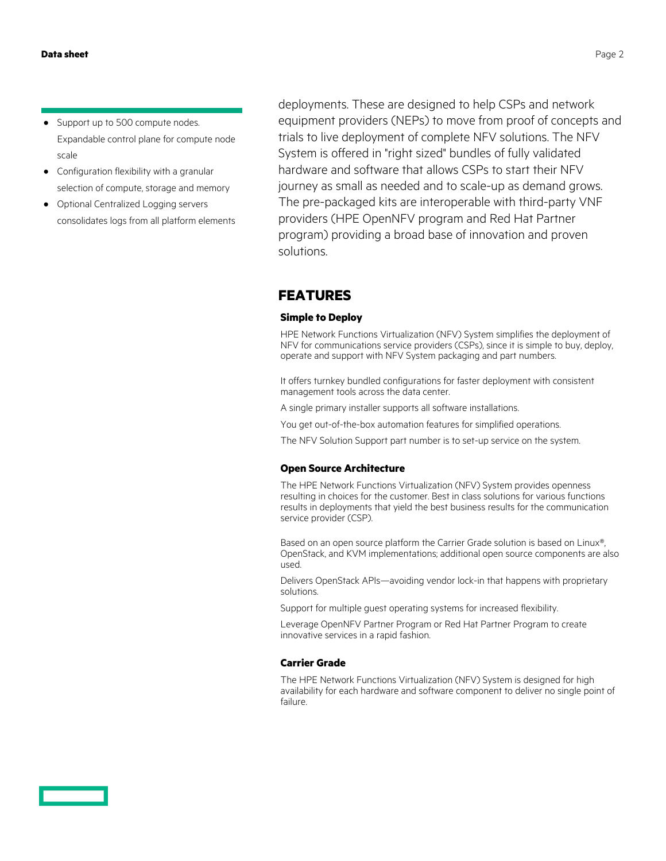- **·** Support up to 500 compute nodes. Expandable control plane for compute node scale
- **·** Configuration flexibility with a granular selection of compute, storage and memory
- **·** Optional Centralized Logging servers consolidates logs from all platform elements

deployments. These are designed to help CSPs and network equipment providers (NEPs) to move from proof of concepts and trials to live deployment of complete NFV solutions. The NFV System is offered in "right sized" bundles of fully validated hardware and software that allows CSPs to start their NFV journey as small as needed and to scale-up as demand grows. The pre-packaged kits are interoperable with third-party VNF providers (HPE OpenNFV program and Red Hat Partner program) providing a broad base of innovation and proven solutions.

### **FEATURES**

#### **Simple to Deploy**

HPE Network Functions Virtualization (NFV) System simplifies the deployment of NFV for communications service providers (CSPs), since it is simple to buy, deploy, operate and support with NFV System packaging and part numbers.

It offers turnkey bundled configurations for faster deployment with consistent management tools across the data center.

- A single primary installer supports all software installations.
- You get out-of-the-box automation features for simplified operations.
- The NFV Solution Support part number is to set-up service on the system.

#### **Open Source Architecture**

The HPE Network Functions Virtualization (NFV) System provides openness resulting in choices for the customer. Best in class solutions for various functions results in deployments that yield the best business results for the communication service provider (CSP).

Based on an open source platform the Carrier Grade solution is based on Linux®, OpenStack, and KVM implementations; additional open source components are also used.

Delivers OpenStack APIs—avoiding vendor lock-in that happens with proprietary solutions.

Support for multiple guest operating systems for increased flexibility.

Leverage OpenNFV Partner Program or Red Hat Partner Program to create innovative services in a rapid fashion.

#### **Carrier Grade**

The HPE Network Functions Virtualization (NFV) System is designed for high availability for each hardware and software component to deliver no single point of failure.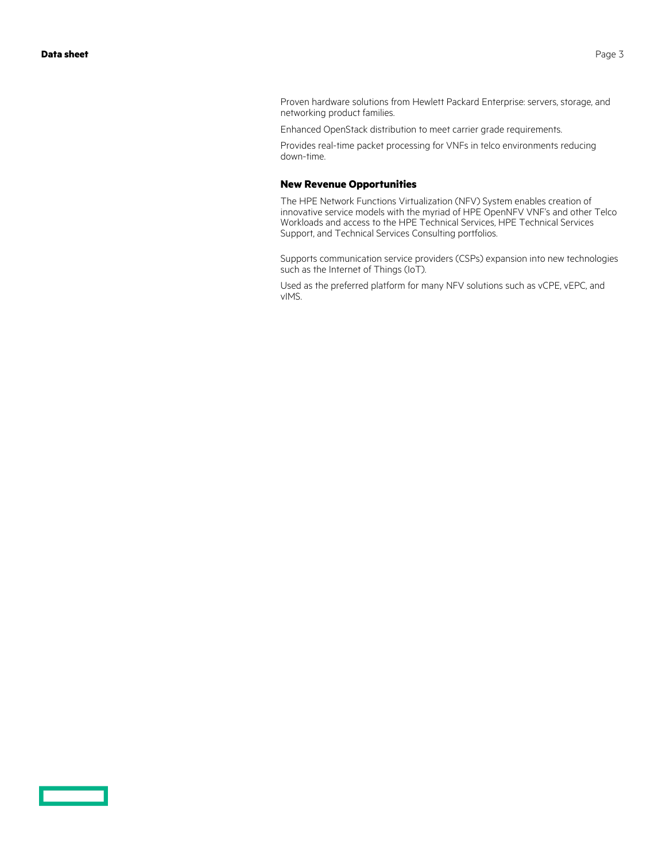$\sim$   $\sim$ 

Proven hardware solutions from Hewlett Packard Enterprise: servers, storage, and networking product families.

Enhanced OpenStack distribution to meet carrier grade requirements.

Provides real-time packet processing for VNFs in telco environments reducing down-time.

#### **New Revenue Opportunities**

The HPE Network Functions Virtualization (NFV) System enables creation of innovative service models with the myriad of HPE OpenNFV VNF's and other Telco Workloads and access to the HPE Technical Services, HPE Technical Services Support, and Technical Services Consulting portfolios.

Supports communication service providers (CSPs) expansion into new technologies such as the Internet of Things (IoT).

Used as the preferred platform for many NFV solutions such as vCPE, vEPC, and vIMS.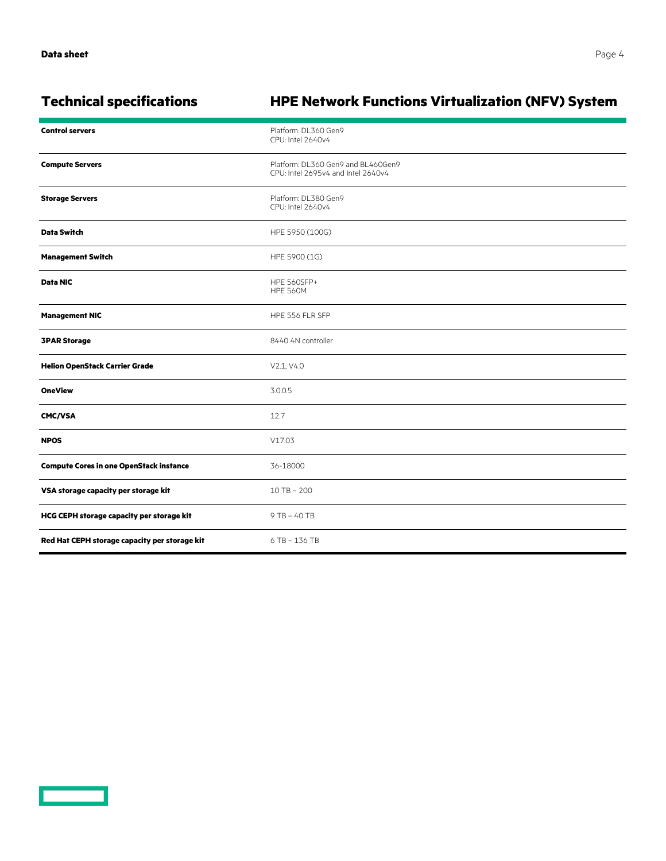<u>e a componente de la p</u>

| <b>Technical specifications</b>                | <b>HPE Network Functions Virtualization (NFV) System</b>                 |  |  |
|------------------------------------------------|--------------------------------------------------------------------------|--|--|
| <b>Control servers</b>                         | Platform: DL360 Gen9<br>CPU: Intel 2640v4                                |  |  |
| <b>Compute Servers</b>                         | Platform: DL360 Gen9 and BL460Gen9<br>CPU: Intel 2695v4 and Intel 2640v4 |  |  |
| <b>Storage Servers</b>                         | Platform: DL380 Gen9<br>CPU: Intel 2640v4                                |  |  |
| <b>Data Switch</b>                             | HPE 5950 (100G)                                                          |  |  |
| <b>Management Switch</b>                       | HPE 5900 (1G)                                                            |  |  |
| Data NIC                                       | <b>HPE 560SFP+</b><br><b>HPE 560M</b>                                    |  |  |
| <b>Management NIC</b>                          | HPE 556 FLR SFP                                                          |  |  |
| <b>3PAR Storage</b>                            | 8440 4N controller                                                       |  |  |
| <b>Helion OpenStack Carrier Grade</b>          | V2.1, V4.0                                                               |  |  |
| <b>OneView</b>                                 | 3.0.0.5                                                                  |  |  |
| <b>CMC/VSA</b>                                 | 12.7                                                                     |  |  |
| <b>NPOS</b>                                    | V17.03                                                                   |  |  |
| <b>Compute Cores in one OpenStack instance</b> | 36-18000                                                                 |  |  |
| VSA storage capacity per storage kit           | $10$ TB $- 200$                                                          |  |  |
| HCG CEPH storage capacity per storage kit      | 9 TB - 40 TB                                                             |  |  |
| Red Hat CEPH storage capacity per storage kit  | 6 TB - 136 TB                                                            |  |  |